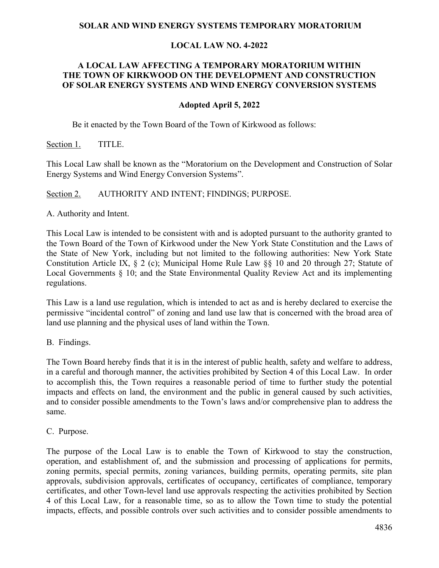### **SOLAR AND WIND ENERGY SYSTEMS TEMPORARY MORATORIUM**

### **LOCAL LAW NO. 4-2022**

### **A LOCAL LAW AFFECTING A TEMPORARY MORATORIUM WITHIN THE TOWN OF KIRKWOOD ON THE DEVELOPMENT AND CONSTRUCTION OF SOLAR ENERGY SYSTEMS AND WIND ENERGY CONVERSION SYSTEMS**

#### **Adopted April 5, 2022**

Be it enacted by the Town Board of the Town of Kirkwood as follows:

Section 1. TITLE.

This Local Law shall be known as the "Moratorium on the Development and Construction of Solar Energy Systems and Wind Energy Conversion Systems".

Section 2. AUTHORITY AND INTENT; FINDINGS; PURPOSE.

A. Authority and Intent.

This Local Law is intended to be consistent with and is adopted pursuant to the authority granted to the Town Board of the Town of Kirkwood under the New York State Constitution and the Laws of the State of New York, including but not limited to the following authorities: New York State Constitution Article IX, § 2 (c); Municipal Home Rule Law §§ 10 and 20 through 27; Statute of Local Governments § 10; and the State Environmental Quality Review Act and its implementing regulations.

This Law is a land use regulation, which is intended to act as and is hereby declared to exercise the permissive "incidental control" of zoning and land use law that is concerned with the broad area of land use planning and the physical uses of land within the Town.

B. Findings.

The Town Board hereby finds that it is in the interest of public health, safety and welfare to address, in a careful and thorough manner, the activities prohibited by Section 4 of this Local Law. In order to accomplish this, the Town requires a reasonable period of time to further study the potential impacts and effects on land, the environment and the public in general caused by such activities, and to consider possible amendments to the Town's laws and/or comprehensive plan to address the same.

C. Purpose.

The purpose of the Local Law is to enable the Town of Kirkwood to stay the construction, operation, and establishment of, and the submission and processing of applications for permits, zoning permits, special permits, zoning variances, building permits, operating permits, site plan approvals, subdivision approvals, certificates of occupancy, certificates of compliance, temporary certificates, and other Town-level land use approvals respecting the activities prohibited by Section 4 of this Local Law, for a reasonable time, so as to allow the Town time to study the potential impacts, effects, and possible controls over such activities and to consider possible amendments to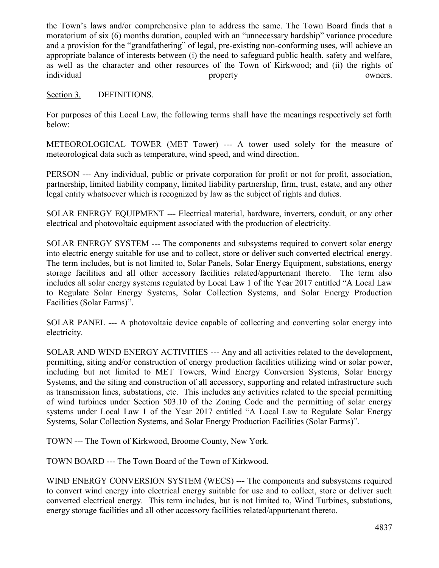the Town's laws and/or comprehensive plan to address the same. The Town Board finds that a moratorium of six (6) months duration, coupled with an "unnecessary hardship" variance procedure and a provision for the "grandfathering" of legal, pre-existing non-conforming uses, will achieve an appropriate balance of interests between (i) the need to safeguard public health, safety and welfare, as well as the character and other resources of the Town of Kirkwood; and (ii) the rights of individual owners.

### Section 3. DEFINITIONS.

For purposes of this Local Law, the following terms shall have the meanings respectively set forth below:

METEOROLOGICAL TOWER (MET Tower) --- A tower used solely for the measure of meteorological data such as temperature, wind speed, and wind direction.

PERSON --- Any individual, public or private corporation for profit or not for profit, association, partnership, limited liability company, limited liability partnership, firm, trust, estate, and any other legal entity whatsoever which is recognized by law as the subject of rights and duties.

SOLAR ENERGY EQUIPMENT --- Electrical material, hardware, inverters, conduit, or any other electrical and photovoltaic equipment associated with the production of electricity.

SOLAR ENERGY SYSTEM --- The components and subsystems required to convert solar energy into electric energy suitable for use and to collect, store or deliver such converted electrical energy. The term includes, but is not limited to, Solar Panels, Solar Energy Equipment, substations, energy storage facilities and all other accessory facilities related/appurtenant thereto. The term also includes all solar energy systems regulated by Local Law 1 of the Year 2017 entitled "A Local Law to Regulate Solar Energy Systems, Solar Collection Systems, and Solar Energy Production Facilities (Solar Farms)".

SOLAR PANEL --- A photovoltaic device capable of collecting and converting solar energy into electricity.

SOLAR AND WIND ENERGY ACTIVITIES --- Any and all activities related to the development, permitting, siting and/or construction of energy production facilities utilizing wind or solar power, including but not limited to MET Towers, Wind Energy Conversion Systems, Solar Energy Systems, and the siting and construction of all accessory, supporting and related infrastructure such as transmission lines, substations, etc. This includes any activities related to the special permitting of wind turbines under Section 503.10 of the Zoning Code and the permitting of solar energy systems under Local Law 1 of the Year 2017 entitled "A Local Law to Regulate Solar Energy Systems, Solar Collection Systems, and Solar Energy Production Facilities (Solar Farms)".

TOWN --- The Town of Kirkwood, Broome County, New York.

TOWN BOARD --- The Town Board of the Town of Kirkwood.

WIND ENERGY CONVERSION SYSTEM (WECS) --- The components and subsystems required to convert wind energy into electrical energy suitable for use and to collect, store or deliver such converted electrical energy. This term includes, but is not limited to, Wind Turbines, substations, energy storage facilities and all other accessory facilities related/appurtenant thereto.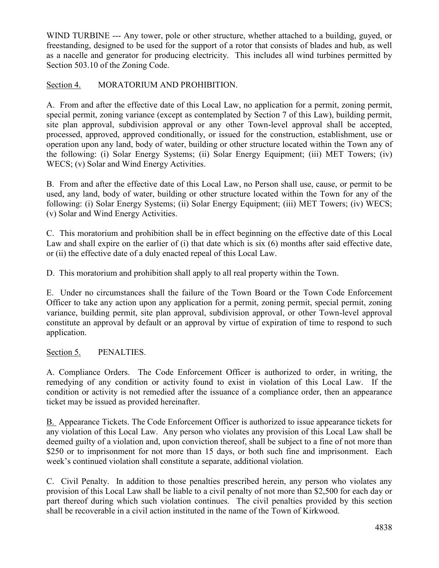WIND TURBINE --- Any tower, pole or other structure, whether attached to a building, guyed, or freestanding, designed to be used for the support of a rotor that consists of blades and hub, as well as a nacelle and generator for producing electricity. This includes all wind turbines permitted by Section 503.10 of the Zoning Code.

# Section 4. MORATORIUM AND PROHIBITION.

A. From and after the effective date of this Local Law, no application for a permit, zoning permit, special permit, zoning variance (except as contemplated by Section 7 of this Law), building permit, site plan approval, subdivision approval or any other Town-level approval shall be accepted, processed, approved, approved conditionally, or issued for the construction, establishment, use or operation upon any land, body of water, building or other structure located within the Town any of the following: (i) Solar Energy Systems; (ii) Solar Energy Equipment; (iii) MET Towers; (iv) WECS; (v) Solar and Wind Energy Activities.

B. From and after the effective date of this Local Law, no Person shall use, cause, or permit to be used, any land, body of water, building or other structure located within the Town for any of the following: (i) Solar Energy Systems; (ii) Solar Energy Equipment; (iii) MET Towers; (iv) WECS; (v) Solar and Wind Energy Activities.

C. This moratorium and prohibition shall be in effect beginning on the effective date of this Local Law and shall expire on the earlier of (i) that date which is six (6) months after said effective date, or (ii) the effective date of a duly enacted repeal of this Local Law.

D. This moratorium and prohibition shall apply to all real property within the Town.

E. Under no circumstances shall the failure of the Town Board or the Town Code Enforcement Officer to take any action upon any application for a permit, zoning permit, special permit, zoning variance, building permit, site plan approval, subdivision approval, or other Town-level approval constitute an approval by default or an approval by virtue of expiration of time to respond to such application.

### Section 5. PENALTIES.

A. Compliance Orders. The Code Enforcement Officer is authorized to order, in writing, the remedying of any condition or activity found to exist in violation of this Local Law. If the condition or activity is not remedied after the issuance of a compliance order, then an appearance ticket may be issued as provided hereinafter.

[B.](http://ecode360.com/?custId=MA2200&guid=9286251&j=23) Appearance Tickets. The Code Enforcement Officer is authorized to issue appearance tickets for any violation of this Local Law. Any person who violates any provision of this Local Law shall be deemed guilty of a violation and, upon conviction thereof, shall be subject to a fine of not more than \$250 or to imprisonment for not more than 15 days, or both such fine and imprisonment. Each week's continued violation shall constitute a separate, additional violation.

C. Civil Penalty. In addition to those penalties prescribed herein, any person who violates any provision of this Local Law shall be liable to a civil penalty of not more than \$2,500 for each day or part thereof during which such violation continues. The civil penalties provided by this section shall be recoverable in a civil action instituted in the name of the Town of Kirkwood.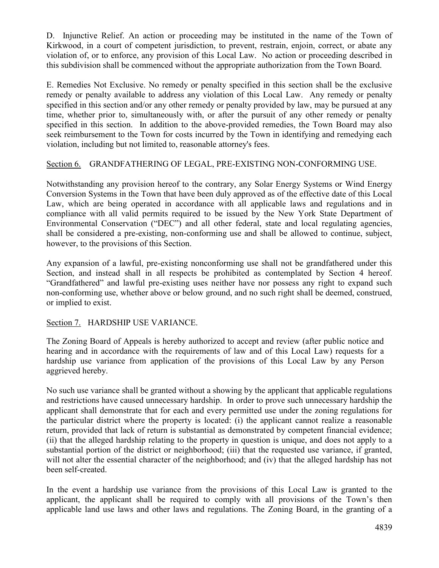D. Injunctive Relief. An action or proceeding may be instituted in the name of the Town of Kirkwood, in a court of competent jurisdiction, to prevent, restrain, enjoin, correct, or abate any violation of, or to enforce, any provision of this Local Law. No action or proceeding described in this subdivision shall be commenced without the appropriate authorization from the Town Board.

E. Remedies Not Exclusive. No remedy or penalty specified in this section shall be the exclusive remedy or penalty available to address any violation of this Local Law. Any remedy or penalty specified in this section and/or any other remedy or penalty provided by law, may be pursued at any time, whether prior to, simultaneously with, or after the pursuit of any other remedy or penalty specified in this section. In addition to the above-provided remedies, the Town Board may also seek reimbursement to the Town for costs incurred by the Town in identifying and remedying each violation, including but not limited to, reasonable attorney's fees.

## Section 6. GRANDFATHERING OF LEGAL, PRE-EXISTING NON-CONFORMING USE.

Notwithstanding any provision hereof to the contrary, any Solar Energy Systems or Wind Energy Conversion Systems in the Town that have been duly approved as of the effective date of this Local Law, which are being operated in accordance with all applicable laws and regulations and in compliance with all valid permits required to be issued by the New York State Department of Environmental Conservation ("DEC") and all other federal, state and local regulating agencies, shall be considered a pre-existing, non-conforming use and shall be allowed to continue, subject, however, to the provisions of this Section.

Any expansion of a lawful, pre-existing nonconforming use shall not be grandfathered under this Section, and instead shall in all respects be prohibited as contemplated by Section 4 hereof. "Grandfathered" and lawful pre-existing uses neither have nor possess any right to expand such non-conforming use, whether above or below ground, and no such right shall be deemed, construed, or implied to exist.

### Section 7. HARDSHIP USE VARIANCE.

The Zoning Board of Appeals is hereby authorized to accept and review (after public notice and hearing and in accordance with the requirements of law and of this Local Law) requests for a hardship use variance from application of the provisions of this Local Law by any Person aggrieved hereby.

No such use variance shall be granted without a showing by the applicant that applicable regulations and restrictions have caused unnecessary hardship. In order to prove such unnecessary hardship the applicant shall demonstrate that for each and every permitted use under the zoning regulations for the particular district where the property is located: (i) the applicant cannot realize a reasonable return, provided that lack of return is substantial as demonstrated by competent financial evidence; (ii) that the alleged hardship relating to the property in question is unique, and does not apply to a substantial portion of the district or neighborhood; (iii) that the requested use variance, if granted, will not alter the essential character of the neighborhood; and (iv) that the alleged hardship has not been self-created.

In the event a hardship use variance from the provisions of this Local Law is granted to the applicant, the applicant shall be required to comply with all provisions of the Town's then applicable land use laws and other laws and regulations. The Zoning Board, in the granting of a